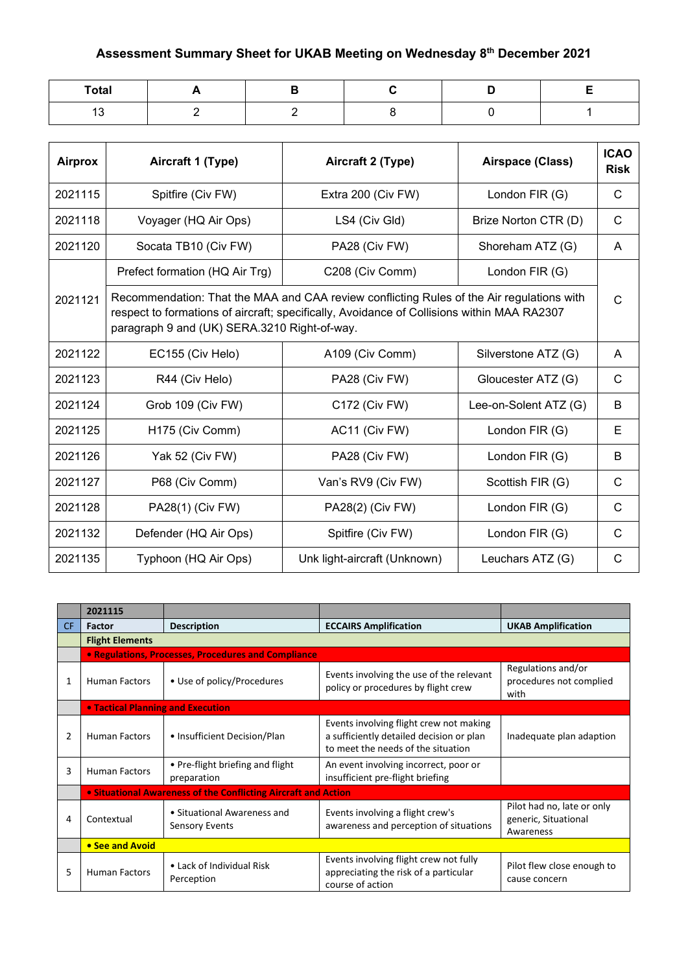## **Assessment Summary Sheet for UKAB Meeting on Wednesday 8th December 2021**

| Total                    |  |  |  |
|--------------------------|--|--|--|
| $\overline{ }$<br>$\sim$ |  |  |  |

| <b>Airprox</b> | Aircraft 1 (Type)                                                                                                                                                                                                                       | Aircraft 2 (Type)            | Airspace (Class)      | <b>ICAO</b><br><b>Risk</b> |  |
|----------------|-----------------------------------------------------------------------------------------------------------------------------------------------------------------------------------------------------------------------------------------|------------------------------|-----------------------|----------------------------|--|
| 2021115        | Spitfire (Civ FW)                                                                                                                                                                                                                       | Extra 200 (Civ FW)           | London FIR (G)        | C                          |  |
| 2021118        | Voyager (HQ Air Ops)                                                                                                                                                                                                                    | LS4 (Civ Gld)                | Brize Norton CTR (D)  | C                          |  |
| 2021120        | Socata TB10 (Civ FW)                                                                                                                                                                                                                    | PA28 (Civ FW)                | Shoreham ATZ (G)      | A                          |  |
|                | Prefect formation (HQ Air Trg)                                                                                                                                                                                                          | C208 (Civ Comm)              | London FIR (G)        |                            |  |
| 2021121        | Recommendation: That the MAA and CAA review conflicting Rules of the Air regulations with<br>respect to formations of aircraft; specifically, Avoidance of Collisions within MAA RA2307<br>paragraph 9 and (UK) SERA.3210 Right-of-way. |                              |                       |                            |  |
| 2021122        | EC155 (Civ Helo)                                                                                                                                                                                                                        | A109 (Civ Comm)              | Silverstone ATZ (G)   | A                          |  |
| 2021123        | R44 (Civ Helo)                                                                                                                                                                                                                          | PA28 (Civ FW)                | Gloucester ATZ (G)    | C                          |  |
| 2021124        | Grob 109 (Civ FW)                                                                                                                                                                                                                       | C172 (Civ FW)                | Lee-on-Solent ATZ (G) | B                          |  |
| 2021125        | H175 (Civ Comm)                                                                                                                                                                                                                         | AC11 (Civ FW)                | London FIR (G)        | Е                          |  |
| 2021126        | Yak 52 (Civ FW)                                                                                                                                                                                                                         | PA28 (Civ FW)                | London FIR (G)        | B                          |  |
| 2021127        | P68 (Civ Comm)                                                                                                                                                                                                                          | Van's RV9 (Civ FW)           | Scottish FIR (G)      | C                          |  |
| 2021128        | PA28(1) (Civ FW)                                                                                                                                                                                                                        | PA28(2) (Civ FW)             | London FIR (G)        | C                          |  |
| 2021132        | Defender (HQ Air Ops)                                                                                                                                                                                                                   | Spitfire (Civ FW)            | London FIR (G)        | $\mathsf{C}$               |  |
| 2021135        | Typhoon (HQ Air Ops)                                                                                                                                                                                                                    | Unk light-aircraft (Unknown) | Leuchars ATZ (G)      | C                          |  |

|                | 2021115                                  |                                                                |                                                                                                                           |                                                                 |  |  |
|----------------|------------------------------------------|----------------------------------------------------------------|---------------------------------------------------------------------------------------------------------------------------|-----------------------------------------------------------------|--|--|
| <b>CF</b>      | Factor                                   | <b>Description</b>                                             | <b>ECCAIRS Amplification</b>                                                                                              | <b>UKAB Amplification</b>                                       |  |  |
|                | <b>Flight Elements</b>                   |                                                                |                                                                                                                           |                                                                 |  |  |
|                |                                          | • Regulations, Processes, Procedures and Compliance            |                                                                                                                           |                                                                 |  |  |
| 1              | <b>Human Factors</b>                     | • Use of policy/Procedures                                     | Events involving the use of the relevant<br>policy or procedures by flight crew                                           | Regulations and/or<br>procedures not complied<br>with           |  |  |
|                | <b>• Tactical Planning and Execution</b> |                                                                |                                                                                                                           |                                                                 |  |  |
| $\overline{2}$ | <b>Human Factors</b>                     | • Insufficient Decision/Plan                                   | Events involving flight crew not making<br>a sufficiently detailed decision or plan<br>to meet the needs of the situation | Inadequate plan adaption                                        |  |  |
| 3              | <b>Human Factors</b>                     | • Pre-flight briefing and flight<br>preparation                | An event involving incorrect, poor or<br>insufficient pre-flight briefing                                                 |                                                                 |  |  |
|                |                                          | • Situational Awareness of the Conflicting Aircraft and Action |                                                                                                                           |                                                                 |  |  |
| 4              | Contextual                               | • Situational Awareness and<br><b>Sensory Events</b>           | Events involving a flight crew's<br>awareness and perception of situations                                                | Pilot had no, late or only<br>generic, Situational<br>Awareness |  |  |
|                | • See and Avoid                          |                                                                |                                                                                                                           |                                                                 |  |  |
| 5              | <b>Human Factors</b>                     | • Lack of Individual Risk<br>Perception                        | Events involving flight crew not fully<br>appreciating the risk of a particular<br>course of action                       | Pilot flew close enough to<br>cause concern                     |  |  |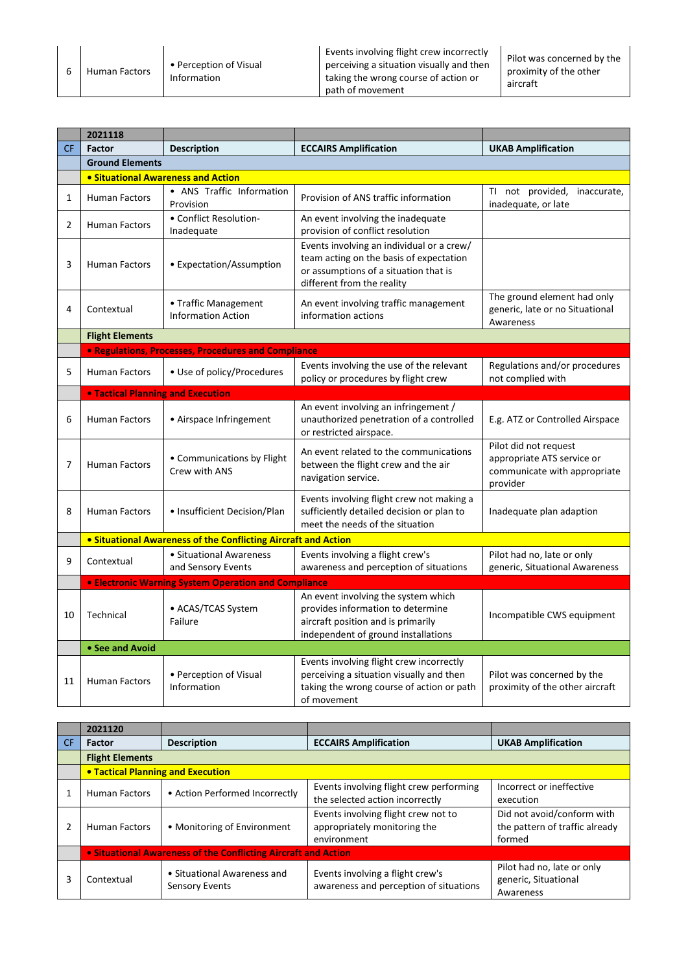6 Human Factors • Perception of Visual Information

Events involving flight crew incorrectly perceiving a situation visually and then taking the wrong course of action or path of movement

|           | 2021118                                   |                                                                |                                                                                                                                                             |                                                                                                 |
|-----------|-------------------------------------------|----------------------------------------------------------------|-------------------------------------------------------------------------------------------------------------------------------------------------------------|-------------------------------------------------------------------------------------------------|
| <b>CF</b> | <b>Factor</b>                             | <b>Description</b>                                             | <b>ECCAIRS Amplification</b>                                                                                                                                | <b>UKAB Amplification</b>                                                                       |
|           | <b>Ground Elements</b>                    |                                                                |                                                                                                                                                             |                                                                                                 |
|           | <b>.</b> Situational Awareness and Action |                                                                |                                                                                                                                                             |                                                                                                 |
| 1         | <b>Human Factors</b>                      | • ANS Traffic Information<br>Provision                         | Provision of ANS traffic information                                                                                                                        | TI not provided, inaccurate,<br>inadequate, or late                                             |
| 2         | Human Factors                             | • Conflict Resolution-<br>Inadequate                           | An event involving the inadequate<br>provision of conflict resolution                                                                                       |                                                                                                 |
| 3         | <b>Human Factors</b>                      | • Expectation/Assumption                                       | Events involving an individual or a crew/<br>team acting on the basis of expectation<br>or assumptions of a situation that is<br>different from the reality |                                                                                                 |
| 4         | Contextual                                | • Traffic Management<br><b>Information Action</b>              | An event involving traffic management<br>information actions                                                                                                | The ground element had only<br>generic, late or no Situational<br>Awareness                     |
|           | <b>Flight Elements</b>                    |                                                                |                                                                                                                                                             |                                                                                                 |
|           |                                           | <b>• Regulations, Processes, Procedures and Compliance</b>     |                                                                                                                                                             |                                                                                                 |
| 5         | <b>Human Factors</b>                      | • Use of policy/Procedures                                     | Events involving the use of the relevant<br>policy or procedures by flight crew                                                                             | Regulations and/or procedures<br>not complied with                                              |
|           | <b>• Tactical Planning and Execution</b>  |                                                                |                                                                                                                                                             |                                                                                                 |
| 6         | <b>Human Factors</b>                      | • Airspace Infringement                                        | An event involving an infringement /<br>unauthorized penetration of a controlled<br>or restricted airspace.                                                 | E.g. ATZ or Controlled Airspace                                                                 |
| 7         | <b>Human Factors</b>                      | • Communications by Flight<br>Crew with ANS                    | An event related to the communications<br>between the flight crew and the air<br>navigation service.                                                        | Pilot did not request<br>appropriate ATS service or<br>communicate with appropriate<br>provider |
| 8         | <b>Human Factors</b>                      | • Insufficient Decision/Plan                                   | Events involving flight crew not making a<br>sufficiently detailed decision or plan to<br>meet the needs of the situation                                   | Inadequate plan adaption                                                                        |
|           |                                           | • Situational Awareness of the Conflicting Aircraft and Action |                                                                                                                                                             |                                                                                                 |
| 9         | Contextual                                | • Situational Awareness<br>and Sensory Events                  | Events involving a flight crew's<br>awareness and perception of situations                                                                                  | Pilot had no, late or only<br>generic, Situational Awareness                                    |
|           |                                           | <b>• Electronic Warning System Operation and Compliance</b>    |                                                                                                                                                             |                                                                                                 |
| 10        | Technical                                 | • ACAS/TCAS System<br>Failure                                  | An event involving the system which<br>provides information to determine<br>aircraft position and is primarily<br>independent of ground installations       | Incompatible CWS equipment                                                                      |
|           | • See and Avoid                           |                                                                |                                                                                                                                                             |                                                                                                 |
| 11        | <b>Human Factors</b>                      | • Perception of Visual<br>Information                          | Events involving flight crew incorrectly<br>perceiving a situation visually and then<br>taking the wrong course of action or path<br>of movement            | Pilot was concerned by the<br>proximity of the other aircraft                                   |

|    | 2021120                                                        |                                                      |                                                                                    |                                                                        |
|----|----------------------------------------------------------------|------------------------------------------------------|------------------------------------------------------------------------------------|------------------------------------------------------------------------|
| CF | <b>Factor</b>                                                  | <b>Description</b>                                   | <b>ECCAIRS Amplification</b>                                                       | <b>UKAB Amplification</b>                                              |
|    | <b>Flight Elements</b>                                         |                                                      |                                                                                    |                                                                        |
|    | <b>• Tactical Planning and Execution</b>                       |                                                      |                                                                                    |                                                                        |
|    | <b>Human Factors</b>                                           | • Action Performed Incorrectly                       | Events involving flight crew performing<br>the selected action incorrectly         | Incorrect or ineffective<br>execution                                  |
|    | <b>Human Factors</b>                                           | • Monitoring of Environment                          | Events involving flight crew not to<br>appropriately monitoring the<br>environment | Did not avoid/conform with<br>the pattern of traffic already<br>formed |
|    | • Situational Awareness of the Conflicting Aircraft and Action |                                                      |                                                                                    |                                                                        |
| 3  | Contextual                                                     | • Situational Awareness and<br><b>Sensory Events</b> | Events involving a flight crew's<br>awareness and perception of situations         | Pilot had no, late or only<br>generic, Situational<br>Awareness        |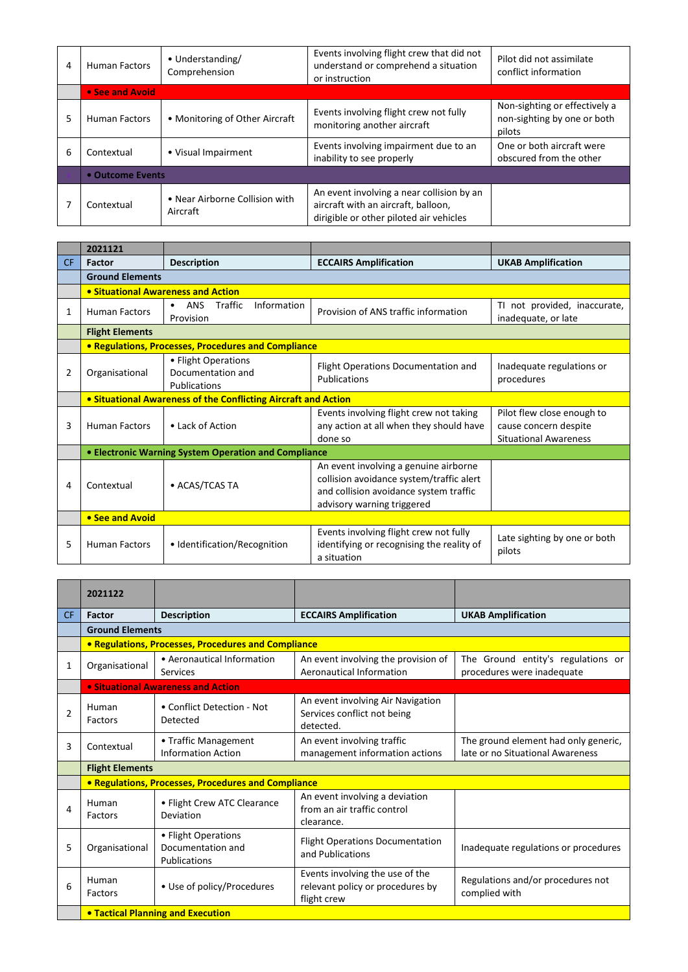| 4 | <b>Human Factors</b> | • Understanding/<br>Comprehension          | Events involving flight crew that did not<br>understand or comprehend a situation<br>or instruction                         | Pilot did not assimilate<br>conflict information                       |
|---|----------------------|--------------------------------------------|-----------------------------------------------------------------------------------------------------------------------------|------------------------------------------------------------------------|
|   | • See and Avoid      |                                            |                                                                                                                             |                                                                        |
| 5 | <b>Human Factors</b> | • Monitoring of Other Aircraft             | Events involving flight crew not fully<br>monitoring another aircraft                                                       | Non-sighting or effectively a<br>non-sighting by one or both<br>pilots |
| 6 | Contextual           | • Visual Impairment                        | Events involving impairment due to an<br>inability to see properly                                                          | One or both aircraft were<br>obscured from the other                   |
|   | • Outcome Events     |                                            |                                                                                                                             |                                                                        |
|   | Contextual           | • Near Airborne Collision with<br>Aircraft | An event involving a near collision by an<br>aircraft with an aircraft, balloon,<br>dirigible or other piloted air vehicles |                                                                        |

|           | 2021121                            |                                                                |                                                                                                                                                           |                                                                                     |
|-----------|------------------------------------|----------------------------------------------------------------|-----------------------------------------------------------------------------------------------------------------------------------------------------------|-------------------------------------------------------------------------------------|
| <b>CF</b> | <b>Factor</b>                      | <b>Description</b>                                             | <b>ECCAIRS Amplification</b>                                                                                                                              | <b>UKAB Amplification</b>                                                           |
|           | <b>Ground Elements</b>             |                                                                |                                                                                                                                                           |                                                                                     |
|           | • Situational Awareness and Action |                                                                |                                                                                                                                                           |                                                                                     |
| 1         | <b>Human Factors</b>               | Information<br>Traffic<br><b>ANS</b><br>$\bullet$<br>Provision | Provision of ANS traffic information                                                                                                                      | TI not provided, inaccurate,<br>inadequate, or late                                 |
|           | <b>Flight Elements</b>             |                                                                |                                                                                                                                                           |                                                                                     |
|           |                                    | <b>• Regulations, Processes, Procedures and Compliance</b>     |                                                                                                                                                           |                                                                                     |
| 2         | Organisational                     | • Flight Operations<br>Documentation and<br>Publications       | Flight Operations Documentation and<br>Publications                                                                                                       | Inadequate regulations or<br>procedures                                             |
|           |                                    | • Situational Awareness of the Conflicting Aircraft and Action |                                                                                                                                                           |                                                                                     |
| 3         | <b>Human Factors</b>               | • Lack of Action                                               | Events involving flight crew not taking<br>any action at all when they should have<br>done so                                                             | Pilot flew close enough to<br>cause concern despite<br><b>Situational Awareness</b> |
|           |                                    | • Electronic Warning System Operation and Compliance           |                                                                                                                                                           |                                                                                     |
| 4         | Contextual                         | • ACAS/TCAS TA                                                 | An event involving a genuine airborne<br>collision avoidance system/traffic alert<br>and collision avoidance system traffic<br>advisory warning triggered |                                                                                     |
|           | • See and Avoid                    |                                                                |                                                                                                                                                           |                                                                                     |
| 5         | <b>Human Factors</b>               | • Identification/Recognition                                   | Events involving flight crew not fully<br>identifying or recognising the reality of<br>a situation                                                        | Late sighting by one or both<br>pilots                                              |

|                | 2021122                |                                                                 |                                                                                    |                                                                          |
|----------------|------------------------|-----------------------------------------------------------------|------------------------------------------------------------------------------------|--------------------------------------------------------------------------|
| <b>CF</b>      | <b>Factor</b>          | <b>Description</b>                                              | <b>ECCAIRS Amplification</b>                                                       | <b>UKAB Amplification</b>                                                |
|                | <b>Ground Elements</b> |                                                                 |                                                                                    |                                                                          |
|                |                        | • Regulations, Processes, Procedures and Compliance             |                                                                                    |                                                                          |
| 1              | Organisational         | • Aeronautical Information<br>Services                          | An event involving the provision of<br>Aeronautical Information                    | The Ground entity's regulations or<br>procedures were inadequate         |
|                |                        | • Situational Awareness and Action                              |                                                                                    |                                                                          |
| $\overline{2}$ | Human<br>Factors       | • Conflict Detection - Not<br>Detected                          | An event involving Air Navigation<br>Services conflict not being<br>detected.      |                                                                          |
| 3              | Contextual             | • Traffic Management<br><b>Information Action</b>               | An event involving traffic<br>management information actions                       | The ground element had only generic,<br>late or no Situational Awareness |
|                | <b>Flight Elements</b> |                                                                 |                                                                                    |                                                                          |
|                |                        | • Regulations, Processes, Procedures and Compliance             |                                                                                    |                                                                          |
| 4              | Human<br>Factors       | • Flight Crew ATC Clearance<br>Deviation                        | An event involving a deviation<br>from an air traffic control<br>clearance.        |                                                                          |
| 5              | Organisational         | • Flight Operations<br>Documentation and<br><b>Publications</b> | <b>Flight Operations Documentation</b><br>and Publications                         | Inadequate regulations or procedures                                     |
| 6              | Human<br>Factors       | • Use of policy/Procedures                                      | Events involving the use of the<br>relevant policy or procedures by<br>flight crew | Regulations and/or procedures not<br>complied with                       |
|                |                        | <b>• Tactical Planning and Execution</b>                        |                                                                                    |                                                                          |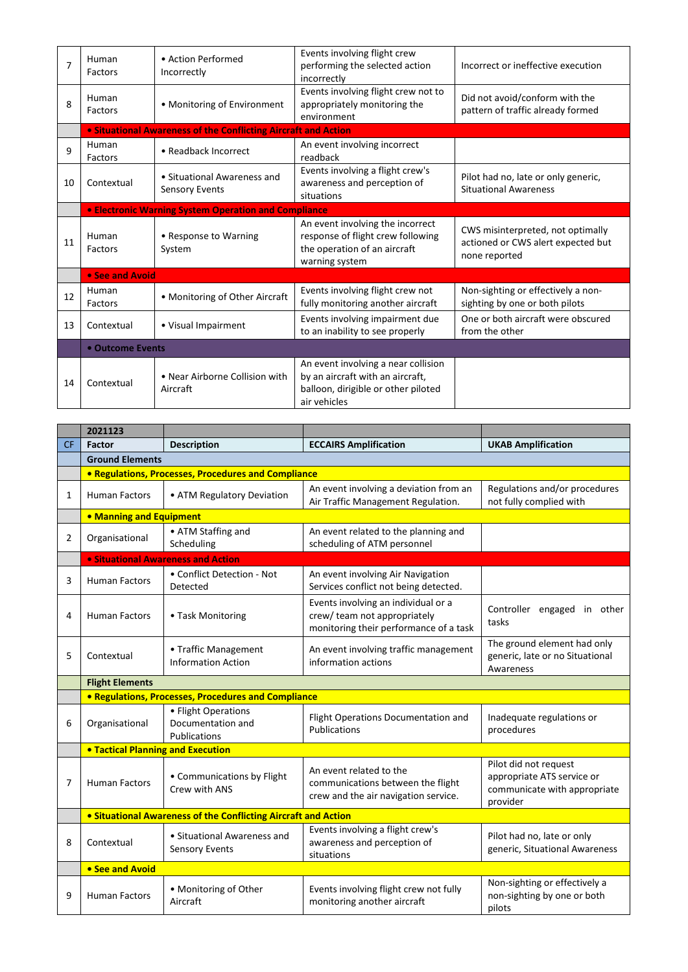| 7  | Human<br>Factors | • Action Performed<br>Incorrectly                              | Events involving flight crew<br>performing the selected action<br>incorrectly                                                  | Incorrect or ineffective execution                                                       |  |
|----|------------------|----------------------------------------------------------------|--------------------------------------------------------------------------------------------------------------------------------|------------------------------------------------------------------------------------------|--|
| 8  | Human<br>Factors | • Monitoring of Environment                                    | Events involving flight crew not to<br>appropriately monitoring the<br>environment                                             | Did not avoid/conform with the<br>pattern of traffic already formed                      |  |
|    |                  | • Situational Awareness of the Conflicting Aircraft and Action |                                                                                                                                |                                                                                          |  |
| 9  | Human<br>Factors | • Readback Incorrect                                           | An event involving incorrect<br>readback                                                                                       |                                                                                          |  |
| 10 | Contextual       | • Situational Awareness and<br><b>Sensory Events</b>           | Events involving a flight crew's<br>awareness and perception of<br>situations                                                  | Pilot had no, late or only generic,<br><b>Situational Awareness</b>                      |  |
|    |                  | <b>. Electronic Warning System Operation and Compliance</b>    |                                                                                                                                |                                                                                          |  |
| 11 | Human<br>Factors | • Response to Warning<br>System                                | An event involving the incorrect<br>response of flight crew following<br>the operation of an aircraft<br>warning system        | CWS misinterpreted, not optimally<br>actioned or CWS alert expected but<br>none reported |  |
|    | • See and Avoid  |                                                                |                                                                                                                                |                                                                                          |  |
| 12 | Human<br>Factors | • Monitoring of Other Aircraft                                 | Events involving flight crew not<br>fully monitoring another aircraft                                                          | Non-sighting or effectively a non-<br>sighting by one or both pilots                     |  |
| 13 | Contextual       | • Visual Impairment                                            | Events involving impairment due<br>to an inability to see properly                                                             | One or both aircraft were obscured<br>from the other                                     |  |
|    | • Outcome Events |                                                                |                                                                                                                                |                                                                                          |  |
| 14 | Contextual       | • Near Airborne Collision with<br>Aircraft                     | An event involving a near collision<br>by an aircraft with an aircraft,<br>balloon, dirigible or other piloted<br>air vehicles |                                                                                          |  |

|           | 2021123                                                        |                                                          |                                                                                                              |                                                                                                 |
|-----------|----------------------------------------------------------------|----------------------------------------------------------|--------------------------------------------------------------------------------------------------------------|-------------------------------------------------------------------------------------------------|
| <b>CF</b> | Factor                                                         | <b>Description</b>                                       | <b>ECCAIRS Amplification</b>                                                                                 | <b>UKAB Amplification</b>                                                                       |
|           | <b>Ground Elements</b>                                         |                                                          |                                                                                                              |                                                                                                 |
|           |                                                                | • Regulations, Processes, Procedures and Compliance      |                                                                                                              |                                                                                                 |
| 1         | <b>Human Factors</b>                                           | • ATM Regulatory Deviation                               | An event involving a deviation from an<br>Air Traffic Management Regulation.                                 | Regulations and/or procedures<br>not fully complied with                                        |
|           | • Manning and Equipment                                        |                                                          |                                                                                                              |                                                                                                 |
| 2         | Organisational                                                 | • ATM Staffing and<br>Scheduling                         | An event related to the planning and<br>scheduling of ATM personnel                                          |                                                                                                 |
|           | <b>.</b> Situational Awareness and Action                      |                                                          |                                                                                                              |                                                                                                 |
| 3         | <b>Human Factors</b>                                           | • Conflict Detection - Not<br>Detected                   | An event involving Air Navigation<br>Services conflict not being detected.                                   |                                                                                                 |
| 4         | <b>Human Factors</b>                                           | • Task Monitoring                                        | Events involving an individual or a<br>crew/team not appropriately<br>monitoring their performance of a task | Controller engaged in other<br>tasks                                                            |
| 5         | Contextual                                                     | • Traffic Management<br><b>Information Action</b>        | An event involving traffic management<br>information actions                                                 | The ground element had only<br>generic, late or no Situational<br>Awareness                     |
|           | <b>Flight Elements</b>                                         |                                                          |                                                                                                              |                                                                                                 |
|           |                                                                | • Regulations, Processes, Procedures and Compliance      |                                                                                                              |                                                                                                 |
| 6         | Organisational                                                 | • Flight Operations<br>Documentation and<br>Publications | Flight Operations Documentation and<br>Publications                                                          | Inadequate regulations or<br>procedures                                                         |
|           | <b>. Tactical Planning and Execution</b>                       |                                                          |                                                                                                              |                                                                                                 |
| 7         | <b>Human Factors</b>                                           | • Communications by Flight<br>Crew with ANS              | An event related to the<br>communications between the flight<br>crew and the air navigation service.         | Pilot did not request<br>appropriate ATS service or<br>communicate with appropriate<br>provider |
|           | • Situational Awareness of the Conflicting Aircraft and Action |                                                          |                                                                                                              |                                                                                                 |
| 8         | Contextual                                                     | • Situational Awareness and<br><b>Sensory Events</b>     | Events involving a flight crew's<br>awareness and perception of<br>situations                                | Pilot had no, late or only<br>generic, Situational Awareness                                    |
|           | • See and Avoid                                                |                                                          |                                                                                                              |                                                                                                 |
| 9         | <b>Human Factors</b>                                           | • Monitoring of Other<br>Aircraft                        | Events involving flight crew not fully<br>monitoring another aircraft                                        | Non-sighting or effectively a<br>non-sighting by one or both<br>pilots                          |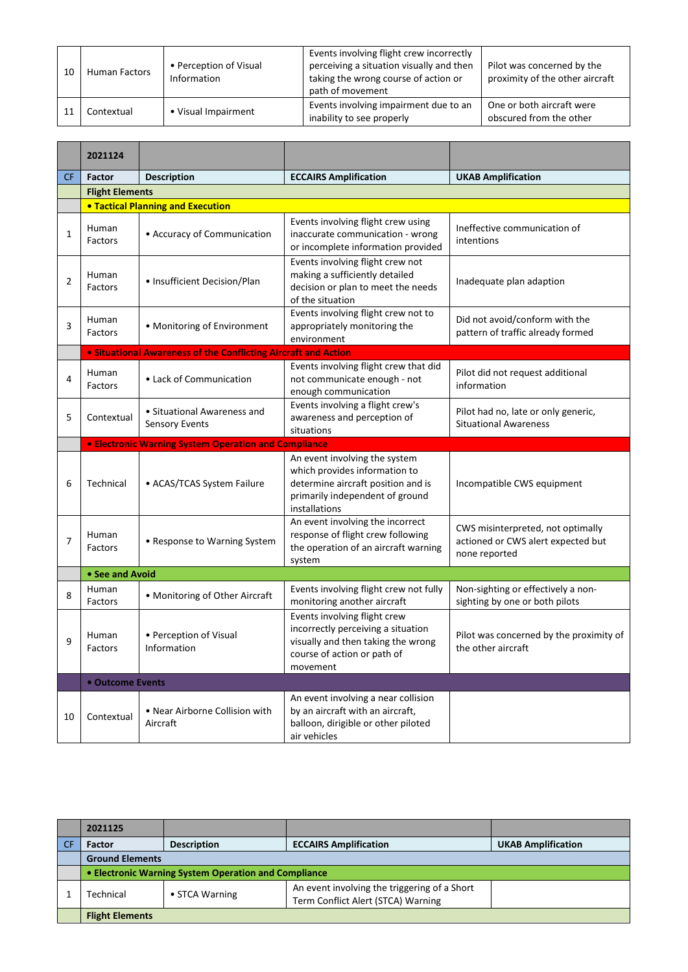| 10 | <b>Human Factors</b> | • Perception of Visual<br>Information | Events involving flight crew incorrectly<br>perceiving a situation visually and then<br>taking the wrong course of action or<br>path of movement | Pilot was concerned by the<br>proximity of the other aircraft |
|----|----------------------|---------------------------------------|--------------------------------------------------------------------------------------------------------------------------------------------------|---------------------------------------------------------------|
|    | Contextual           | • Visual Impairment                   | Events involving impairment due to an<br>inability to see properly                                                                               | One or both aircraft were<br>obscured from the other          |

|                | 2021124                |                                                                       |                                                                                                                                                          |                                                                                          |
|----------------|------------------------|-----------------------------------------------------------------------|----------------------------------------------------------------------------------------------------------------------------------------------------------|------------------------------------------------------------------------------------------|
| <b>CF</b>      | Factor                 | <b>Description</b>                                                    | <b>ECCAIRS Amplification</b>                                                                                                                             | <b>UKAB Amplification</b>                                                                |
|                | <b>Flight Elements</b> |                                                                       |                                                                                                                                                          |                                                                                          |
|                |                        | <b>. Tactical Planning and Execution</b>                              |                                                                                                                                                          |                                                                                          |
| $\mathbf{1}$   | Human<br>Factors       | • Accuracy of Communication                                           | Events involving flight crew using<br>inaccurate communication - wrong<br>or incomplete information provided                                             | Ineffective communication of<br>intentions                                               |
| $\overline{2}$ | Human<br>Factors       | • Insufficient Decision/Plan                                          | Events involving flight crew not<br>making a sufficiently detailed<br>decision or plan to meet the needs<br>of the situation                             | Inadequate plan adaption                                                                 |
| 3              | Human<br>Factors       | • Monitoring of Environment                                           | Events involving flight crew not to<br>appropriately monitoring the<br>environment                                                                       | Did not avoid/conform with the<br>pattern of traffic already formed                      |
|                |                        | <b>• Situational Awareness of the Conflicting Aircraft and Action</b> |                                                                                                                                                          |                                                                                          |
| 4              | Human<br>Factors       | • Lack of Communication                                               | Events involving flight crew that did<br>not communicate enough - not<br>enough communication                                                            | Pilot did not request additional<br>information                                          |
| 5              | Contextual             | • Situational Awareness and<br><b>Sensory Events</b>                  | Events involving a flight crew's<br>awareness and perception of<br>situations                                                                            | Pilot had no, late or only generic,<br><b>Situational Awareness</b>                      |
|                |                        | <b>• Electronic Warning System Operation and Compliance</b>           |                                                                                                                                                          |                                                                                          |
| 6              | Technical              | • ACAS/TCAS System Failure                                            | An event involving the system<br>which provides information to<br>determine aircraft position and is<br>primarily independent of ground<br>installations | Incompatible CWS equipment                                                               |
| 7              | Human<br>Factors       | • Response to Warning System                                          | An event involving the incorrect<br>response of flight crew following<br>the operation of an aircraft warning<br>system                                  | CWS misinterpreted, not optimally<br>actioned or CWS alert expected but<br>none reported |
|                | • See and Avoid        |                                                                       |                                                                                                                                                          |                                                                                          |
| 8              | Human<br>Factors       | • Monitoring of Other Aircraft                                        | Events involving flight crew not fully<br>monitoring another aircraft                                                                                    | Non-sighting or effectively a non-<br>sighting by one or both pilots                     |
| 9              | Human<br>Factors       | • Perception of Visual<br>Information                                 | Events involving flight crew<br>incorrectly perceiving a situation<br>visually and then taking the wrong<br>course of action or path of<br>movement      | Pilot was concerned by the proximity of<br>the other aircraft                            |
|                | • Outcome Events       |                                                                       |                                                                                                                                                          |                                                                                          |
| 10             | Contextual             | • Near Airborne Collision with<br>Aircraft                            | An event involving a near collision<br>by an aircraft with an aircraft,<br>balloon, dirigible or other piloted<br>air vehicles                           |                                                                                          |

| 2021125                                              |                    |                                                                                    |                           |  |
|------------------------------------------------------|--------------------|------------------------------------------------------------------------------------|---------------------------|--|
| <b>Factor</b>                                        | <b>Description</b> | <b>ECCAIRS Amplification</b>                                                       | <b>UKAB Amplification</b> |  |
| <b>Ground Elements</b>                               |                    |                                                                                    |                           |  |
| • Electronic Warning System Operation and Compliance |                    |                                                                                    |                           |  |
| Technical                                            | • STCA Warning     | An event involving the triggering of a Short<br>Term Conflict Alert (STCA) Warning |                           |  |
| <b>Flight Elements</b>                               |                    |                                                                                    |                           |  |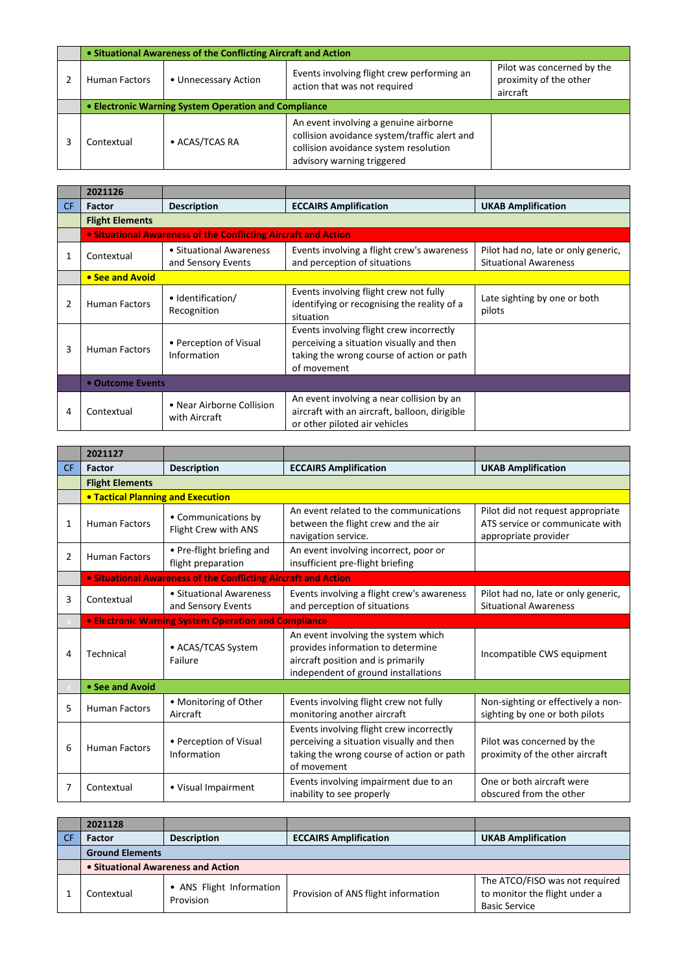|                                                      | • Situational Awareness of the Conflicting Aircraft and Action |                                                                                                                                                              |                                                                  |  |  |
|------------------------------------------------------|----------------------------------------------------------------|--------------------------------------------------------------------------------------------------------------------------------------------------------------|------------------------------------------------------------------|--|--|
| <b>Human Factors</b>                                 | • Unnecessary Action                                           | Events involving flight crew performing an<br>action that was not required                                                                                   | Pilot was concerned by the<br>proximity of the other<br>aircraft |  |  |
| • Electronic Warning System Operation and Compliance |                                                                |                                                                                                                                                              |                                                                  |  |  |
| Contextual                                           | • ACAS/TCAS RA                                                 | An event involving a genuine airborne<br>collision avoidance system/traffic alert and<br>collision avoidance system resolution<br>advisory warning triggered |                                                                  |  |  |

|                | 2021126                |                                                                |                                                                                                                                                  |                                                                     |
|----------------|------------------------|----------------------------------------------------------------|--------------------------------------------------------------------------------------------------------------------------------------------------|---------------------------------------------------------------------|
| CF.            | <b>Factor</b>          | <b>Description</b>                                             | <b>ECCAIRS Amplification</b>                                                                                                                     | <b>UKAB Amplification</b>                                           |
|                | <b>Flight Elements</b> |                                                                |                                                                                                                                                  |                                                                     |
|                |                        | • Situational Awareness of the Conflicting Aircraft and Action |                                                                                                                                                  |                                                                     |
|                | Contextual             | • Situational Awareness<br>and Sensory Events                  | Events involving a flight crew's awareness<br>and perception of situations                                                                       | Pilot had no, late or only generic,<br><b>Situational Awareness</b> |
|                | • See and Avoid        |                                                                |                                                                                                                                                  |                                                                     |
| $\overline{2}$ | <b>Human Factors</b>   | • Identification/<br>Recognition                               | Events involving flight crew not fully<br>identifying or recognising the reality of a<br>situation                                               | Late sighting by one or both<br>pilots                              |
| 3              | <b>Human Factors</b>   | • Perception of Visual<br>Information                          | Events involving flight crew incorrectly<br>perceiving a situation visually and then<br>taking the wrong course of action or path<br>of movement |                                                                     |
|                | • Outcome Events       |                                                                |                                                                                                                                                  |                                                                     |
| 4              | Contextual             | • Near Airborne Collision<br>with Aircraft                     | An event involving a near collision by an<br>aircraft with an aircraft, balloon, dirigible<br>or other piloted air vehicles                      |                                                                     |

|                | 2021127                                  |                                                                |                                                                                                                                                       |                                                                                              |
|----------------|------------------------------------------|----------------------------------------------------------------|-------------------------------------------------------------------------------------------------------------------------------------------------------|----------------------------------------------------------------------------------------------|
| <b>CF</b>      | Factor                                   | <b>Description</b>                                             | <b>ECCAIRS Amplification</b>                                                                                                                          | <b>UKAB Amplification</b>                                                                    |
|                | <b>Flight Elements</b>                   |                                                                |                                                                                                                                                       |                                                                                              |
|                | <b>• Tactical Planning and Execution</b> |                                                                |                                                                                                                                                       |                                                                                              |
| 1              | <b>Human Factors</b>                     | • Communications by<br>Flight Crew with ANS                    | An event related to the communications<br>between the flight crew and the air<br>navigation service.                                                  | Pilot did not request appropriate<br>ATS service or communicate with<br>appropriate provider |
| $\overline{2}$ | <b>Human Factors</b>                     | • Pre-flight briefing and<br>flight preparation                | An event involving incorrect, poor or<br>insufficient pre-flight briefing                                                                             |                                                                                              |
|                |                                          | • Situational Awareness of the Conflicting Aircraft and Action |                                                                                                                                                       |                                                                                              |
| 3              | Contextual                               | • Situational Awareness<br>and Sensory Events                  | Events involving a flight crew's awareness<br>and perception of situations                                                                            | Pilot had no, late or only generic,<br><b>Situational Awareness</b>                          |
|                |                                          | <b>• Electronic Warning System Operation and Compliance</b>    |                                                                                                                                                       |                                                                                              |
| 4              | Technical                                | • ACAS/TCAS System<br>Failure                                  | An event involving the system which<br>provides information to determine<br>aircraft position and is primarily<br>independent of ground installations | Incompatible CWS equipment                                                                   |
|                | • See and Avoid                          |                                                                |                                                                                                                                                       |                                                                                              |
| 5              | <b>Human Factors</b>                     | • Monitoring of Other<br>Aircraft                              | Events involving flight crew not fully<br>monitoring another aircraft                                                                                 | Non-sighting or effectively a non-<br>sighting by one or both pilots                         |
| 6              | <b>Human Factors</b>                     | • Perception of Visual<br>Information                          | Events involving flight crew incorrectly<br>perceiving a situation visually and then<br>taking the wrong course of action or path<br>of movement      | Pilot was concerned by the<br>proximity of the other aircraft                                |
| 7              | Contextual                               | • Visual Impairment                                            | Events involving impairment due to an<br>inability to see properly                                                                                    | One or both aircraft were<br>obscured from the other                                         |

| 2021128                            |                                       |                                     |                                                                                         |
|------------------------------------|---------------------------------------|-------------------------------------|-----------------------------------------------------------------------------------------|
| Factor                             | <b>Description</b>                    | <b>ECCAIRS Amplification</b>        | <b>UKAB Amplification</b>                                                               |
| <b>Ground Elements</b>             |                                       |                                     |                                                                                         |
| • Situational Awareness and Action |                                       |                                     |                                                                                         |
| Contextual                         | • ANS Flight Information<br>Provision | Provision of ANS flight information | The ATCO/FISO was not required<br>to monitor the flight under a<br><b>Basic Service</b> |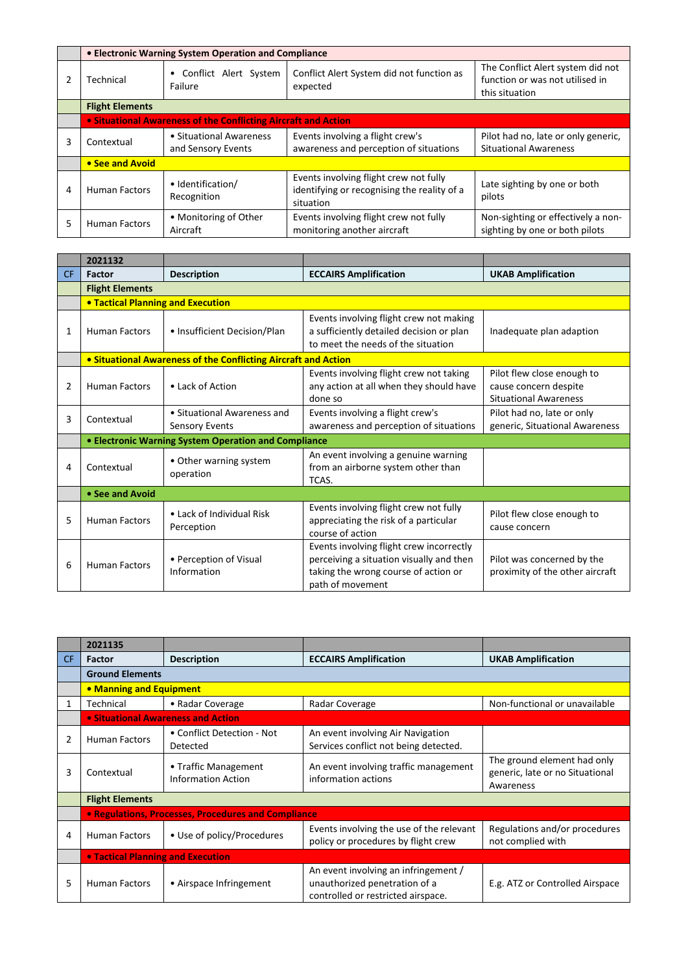|   | • Electronic Warning System Operation and Compliance           |                                               |                                                                                                    |                                                                                        |  |
|---|----------------------------------------------------------------|-----------------------------------------------|----------------------------------------------------------------------------------------------------|----------------------------------------------------------------------------------------|--|
|   | Technical                                                      | • Conflict Alert System<br>Failure            | Conflict Alert System did not function as<br>expected                                              | The Conflict Alert system did not<br>function or was not utilised in<br>this situation |  |
|   | <b>Flight Elements</b>                                         |                                               |                                                                                                    |                                                                                        |  |
|   | • Situational Awareness of the Conflicting Aircraft and Action |                                               |                                                                                                    |                                                                                        |  |
| 3 | Contextual                                                     | • Situational Awareness<br>and Sensory Events | Events involving a flight crew's<br>awareness and perception of situations                         | Pilot had no, late or only generic,<br><b>Situational Awareness</b>                    |  |
|   | • See and Avoid                                                |                                               |                                                                                                    |                                                                                        |  |
| 4 | <b>Human Factors</b>                                           | • Identification/<br>Recognition              | Events involving flight crew not fully<br>identifying or recognising the reality of a<br>situation | Late sighting by one or both<br>pilots                                                 |  |
| 5 | <b>Human Factors</b>                                           | • Monitoring of Other<br>Aircraft             | Events involving flight crew not fully<br>monitoring another aircraft                              | Non-sighting or effectively a non-<br>sighting by one or both pilots                   |  |

|                | 2021132                                  |                                                                |                                                                                                                                                  |                                                                                     |  |  |
|----------------|------------------------------------------|----------------------------------------------------------------|--------------------------------------------------------------------------------------------------------------------------------------------------|-------------------------------------------------------------------------------------|--|--|
| CF.            | Factor                                   | <b>Description</b>                                             | <b>ECCAIRS Amplification</b>                                                                                                                     | <b>UKAB Amplification</b>                                                           |  |  |
|                | <b>Flight Elements</b>                   |                                                                |                                                                                                                                                  |                                                                                     |  |  |
|                | <b>. Tactical Planning and Execution</b> |                                                                |                                                                                                                                                  |                                                                                     |  |  |
| 1              | <b>Human Factors</b>                     | • Insufficient Decision/Plan                                   | Events involving flight crew not making<br>a sufficiently detailed decision or plan<br>to meet the needs of the situation                        | Inadequate plan adaption                                                            |  |  |
|                |                                          | • Situational Awareness of the Conflicting Aircraft and Action |                                                                                                                                                  |                                                                                     |  |  |
| $\overline{2}$ | <b>Human Factors</b>                     | • Lack of Action                                               | Events involving flight crew not taking<br>any action at all when they should have<br>done so                                                    | Pilot flew close enough to<br>cause concern despite<br><b>Situational Awareness</b> |  |  |
| 3              | Contextual                               | • Situational Awareness and<br>Sensory Events                  | Events involving a flight crew's<br>awareness and perception of situations                                                                       | Pilot had no, late or only<br>generic, Situational Awareness                        |  |  |
|                |                                          | • Electronic Warning System Operation and Compliance           |                                                                                                                                                  |                                                                                     |  |  |
| 4              | Contextual                               | • Other warning system<br>operation                            | An event involving a genuine warning<br>from an airborne system other than<br>TCAS.                                                              |                                                                                     |  |  |
|                | • See and Avoid                          |                                                                |                                                                                                                                                  |                                                                                     |  |  |
| 5              | <b>Human Factors</b>                     | $\bullet$ Lack of Individual Risk<br>Perception                | Events involving flight crew not fully<br>appreciating the risk of a particular<br>course of action                                              | Pilot flew close enough to<br>cause concern                                         |  |  |
| 6              | <b>Human Factors</b>                     | • Perception of Visual<br>Information                          | Events involving flight crew incorrectly<br>perceiving a situation visually and then<br>taking the wrong course of action or<br>path of movement | Pilot was concerned by the<br>proximity of the other aircraft                       |  |  |

|           | 2021135                           |                                                     |                                                                                                             |                                                                             |
|-----------|-----------------------------------|-----------------------------------------------------|-------------------------------------------------------------------------------------------------------------|-----------------------------------------------------------------------------|
| <b>CF</b> | <b>Factor</b>                     | <b>Description</b>                                  | <b>ECCAIRS Amplification</b>                                                                                | <b>UKAB Amplification</b>                                                   |
|           | <b>Ground Elements</b>            |                                                     |                                                                                                             |                                                                             |
|           | • Manning and Equipment           |                                                     |                                                                                                             |                                                                             |
| 1         | Technical                         | • Radar Coverage                                    | Radar Coverage                                                                                              | Non-functional or unavailable                                               |
|           |                                   | • Situational Awareness and Action                  |                                                                                                             |                                                                             |
| 2         | <b>Human Factors</b>              | • Conflict Detection - Not<br>Detected              | An event involving Air Navigation<br>Services conflict not being detected.                                  |                                                                             |
| 3         | Contextual                        | • Traffic Management<br><b>Information Action</b>   | An event involving traffic management<br>information actions                                                | The ground element had only<br>generic, late or no Situational<br>Awareness |
|           | <b>Flight Elements</b>            |                                                     |                                                                                                             |                                                                             |
|           |                                   | • Regulations, Processes, Procedures and Compliance |                                                                                                             |                                                                             |
| 4         | <b>Human Factors</b>              | • Use of policy/Procedures                          | Events involving the use of the relevant<br>policy or procedures by flight crew                             | Regulations and/or procedures<br>not complied with                          |
|           | • Tactical Planning and Execution |                                                     |                                                                                                             |                                                                             |
| 5         | <b>Human Factors</b>              | • Airspace Infringement                             | An event involving an infringement /<br>unauthorized penetration of a<br>controlled or restricted airspace. | E.g. ATZ or Controlled Airspace                                             |